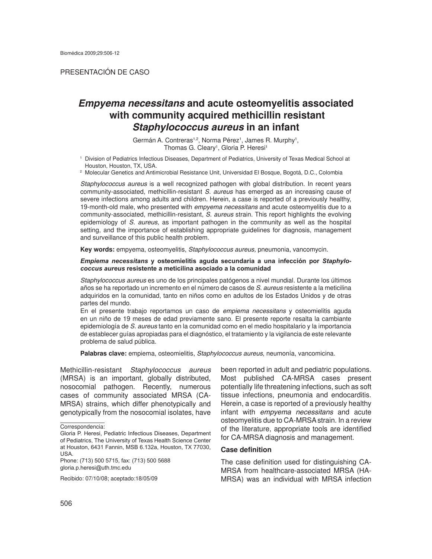PRESENTACIÓN DE CASO

# *Empyema necessitans* **and acute osteomyelitis associated with community acquired methicillin resistant**  *Staphylococcus aureus* **in an infant**

Germán A. Contreras<sup>1,2</sup>, Norma Pérez<sup>1</sup>, James R. Murphy<sup>1</sup>, Thomas G. Cleary<sup>1</sup>, Gloria P. Heresi<sup>1</sup>

1 Division of Pediatrics Infectious Diseases, Department of Pediatrics, University of Texas Medical School at Houston, Houston, TX, USA.

<sup>2</sup> Molecular Genetics and Antimicrobial Resistance Unit, Universidad El Bosque, Bogotá, D.C., Colombia

*Staphylococcus aureus* is a well recognized pathogen with global distribution. In recent years community-associated, methicillin-resistant *S. aureus* has emerged as an increasing cause of severe infections among adults and children. Herein, a case is reported of a previously healthy, 19-month-old male, who presented with *empyema necessitans* and acute osteomyelitis due to a community-associated, methicillin-resistant, *S. aureus* strain. This report highlights the evolving epidemiology of *S. aureus,* as important pathogen in the community as well as the hospital setting, and the importance of establishing appropriate guidelines for diagnosis, management and surveillance of this public health problem.

**Key words:** empyema, osteomyelitis, *Staphylococcus aureus,* pneumonia, vancomycin.

## *Empiema necessitans* **y osteomielitis aguda secundaria a una infección por** *Staphylococcus aureus* **resistente a meticilina asociado a la comunidad**

*Staphylococcus aureus* es uno de los principales patógenos a nivel mundial. Durante los últimos años se ha reportado un incremento en el número de casos de *S. aureus* resistente a la meticilina adquiridos en la comunidad, tanto en niños como en adultos de los Estados Unidos y de otras partes del mundo.

En el presente trabajo reportamos un caso de *empiema necessitans* y osteomielitis aguda en un niño de 19 meses de edad previamente sano. El presente reporte resalta la cambiante epidemiología de *S. aureus* tanto en la comunidad como en el medio hospitalario y la importancia de establecer guías apropiadas para el diagnóstico, el tratamiento y la vigilancia de este relevante problema de salud pública.

**Palabras clave:** empiema, osteomielitis, *Staphylococcus aureus*, neumonía, vancomicina.

Methicillin-resistant *Staphylococcus aureus* (MRSA) is an important, globally distributed, nosocomial pathogen. Recently, numerous cases of community associated MRSA (CA-MRSA) strains, which differ phenotypically and genotypically from the nosocomial isolates, have

Phone: (713) 500 5715, fax: (713) 500 5688 gloria.p.heresi@uth.tmc.edu

Recibido: 07/10/08; aceptado:18/05/09

been reported in adult and pediatric populations. Most published CA-MRSA cases present potentially life threatening infections, such as soft tissue infections, pneumonia and endocarditis. Herein, a case is reported of a previously healthy infant with *empyema necessitans* and acute osteomyelitis due to CA-MRSA strain. In a review of the literature, appropriate tools are identified for CA-MRSA diagnosis and management.

## **Case definition**

The case definition used for distinguishing CA-MRSA from healthcare-associated MRSA (HA-MRSA) was an individual with MRSA infection

Correspondencia:

Gloria P. Heresi, Pediatric Infectious Diseases, Department of Pediatrics, The University of Texas Health Science Center at Houston, 6431 Fannin, MSB 6.132a, Houston, TX 77030, USA.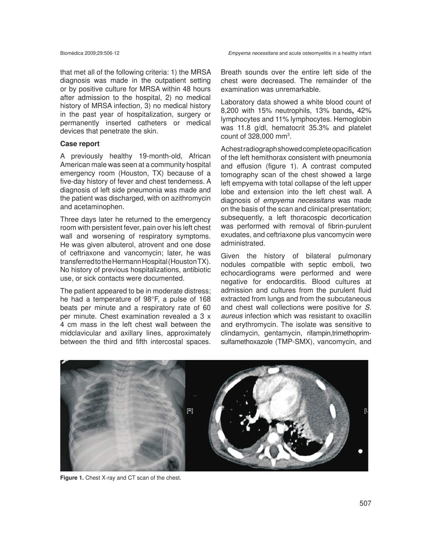that met all of the following criteria: 1) the MRSA diagnosis was made in the outpatient setting or by positive culture for MRSA within 48 hours after admission to the hospital, 2) no medical history of MRSA infection, 3) no medical history in the past year of hospitalization, surgery or permanently inserted catheters or medical devices that penetrate the skin.

## **Case report**

A previously healthy 19-month-old, African American male was seen at a community hospital emergency room (Houston, TX) because of a five-day history of fever and chest tenderness. A diagnosis of left side pneumonia was made and the patient was discharged, with on azithromycin and acetaminophen.

Three days later he returned to the emergency room with persistent fever, pain over his left chest wall and worsening of respiratory symptoms. He was given albuterol, atrovent and one dose of ceftriaxone and vancomycin; later, he was transferred to the Hermann Hospital (Houston TX). No history of previous hospitalizations, antibiotic use, or sick contacts were documented.

The patient appeared to be in moderate distress; he had a temperature of 98°F, a pulse of 168 beats per minute and a respiratory rate of 60 per minute. Chest examination revealed a 3 x 4 cm mass in the left chest wall between the midclavicular and axillary lines, approximately between the third and fifth intercostal spaces.

Breath sounds over the entire left side of the chest were decreased. The remainder of the examination was unremarkable.

Laboratory data showed a white blood count of 8,200 with 15% neutrophils, 13% bands**,** 42% lymphocytes and 11% lymphocytes. Hemoglobin was 11.8 g/dl, hematocrit 35.3% and platelet count of  $328,000$  mm<sup>3</sup>.

A chest radiograph showed complete opacification of the left hemithorax consistent with pneumonia and effusion (figure 1). A contrast computed tomography scan of the chest showed a large left empyema with total collapse of the left upper lobe and extension into the left chest wall. A diagnosis of *empyema necessitans* was made on the basis of the scan and clinical presentation; subsequently, a left thoracospic decortication was performed with removal of fibrin-purulent exudates, and ceftriaxone plus vancomycin were administrated.

Given the history of bilateral pulmonary nodules compatible with septic emboli, two echocardiograms were performed and were negative for endocarditis. Blood cultures at admission and cultures from the purulent fluid extracted from lungs and from the subcutaneous and chest wall collections were positive for *S. aureus* infection which was resistant to oxacillin and erythromycin. The isolate was sensitive to clindamycin, gentamycin, rifampin,trimethoprimsulfamethoxazole (TMP-SMX), vancomycin, and



**Figure 1.** Chest X-ray and CT scan of the chest.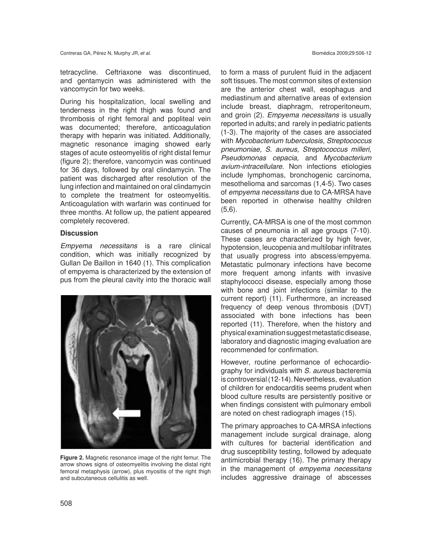tetracycline. Ceftriaxone was discontinued, and gentamycin was administered with the vancomycin for two weeks.

During his hospitalization, local swelling and tenderness in the right thigh was found and thrombosis of right femoral and popliteal vein was documented; therefore, anticoagulation therapy with heparin was initiated. Additionally, magnetic resonance imaging showed early stages of acute osteomyelitis of right distal femur (figure 2); therefore, vancomycin was continued for 36 days, followed by oral clindamycin. The patient was discharged after resolution of the lung infection and maintained on oral clindamycin to complete the treatment for osteomyelitis. Anticoagulation with warfarin was continued for three months. At follow up, the patient appeared completely recovered.

## **Discussion**

*Empyema necessitans* is a rare clinical condition, which was initially recognized by Gullan De Baillon in 1640 (1). This complication of empyema is characterized by the extension of pus from the pleural cavity into the thoracic wall



**Figure 2.** Magnetic resonance image of the right femur. The arrow shows signs of osteomyelitis involving the distal right femoral metaphysis (arrow), plus myositis of the right thigh and subcutaneous cellulitis as well.

to form a mass of purulent fluid in the adjacent soft tissues. The most common sites of extension are the anterior chest wall, esophagus and mediastinum and alternative areas of extension include breast, diaphragm, retroperitoneum, and groin (2). *Empyema necessitans* is usually reported in adults; and rarely in pediatric patients (1-3). The majority of the cases are associated with *Mycobacterium tuberculosis*, *Streptococcus pneumoniae, S. aureus, Streptococcus milleri, Pseudomonas cepacia,* and *Mycobacterium avium-intracellulare*. Non infections etiologies include lymphomas, bronchogenic carcinoma, mesothelioma and sarcomas (1,4-5). Two cases of *empyema necessitans* due to CA-MRSA have been reported in otherwise healthy children (5,6).

Currently, CA-MRSA is one of the most common causes of pneumonia in all age groups (7-10). These cases are characterized by high fever, hypotension, leucopenia and multilobar infiltrates that usually progress into abscess/empyema. Metastatic pulmonary infections have become more frequent among infants with invasive staphylococci disease, especially among those with bone and joint infections (similar to the current report) (11). Furthermore, an increased frequency of deep venous thrombosis (DVT) associated with bone infections has been reported (11). Therefore, when the history and physical examination suggest metastatic disease, laboratory and diagnostic imaging evaluation are recommended for confirmation.

However, routine performance of echocardiography for individuals with *S. aureus* bacteremia is controversial (12-14). Nevertheless, evaluation of children for endocarditis seems prudent when blood culture results are persistently positive or when findings consistent with pulmonary emboli are noted on chest radiograph images (15).

The primary approaches to CA-MRSA infections management include surgical drainage, along with cultures for bacterial identification and drug susceptibility testing, followed by adequate antimicrobial therapy (16). The primary therapy in the management of *empyema necessitans*  includes aggressive drainage of abscesses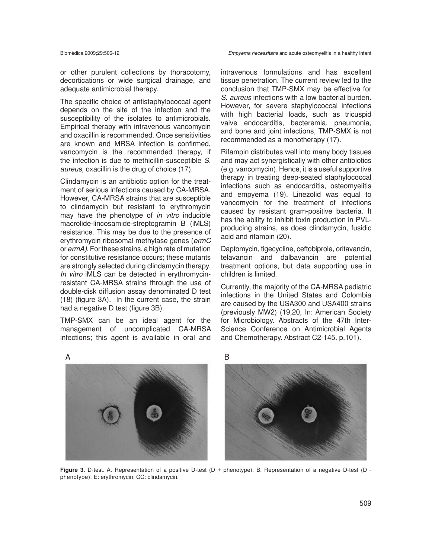or other purulent collections by thoracotomy, decortications or wide surgical drainage, and adequate antimicrobial therapy.

The specific choice of antistaphylococcal agent depends on the site of the infection and the susceptibility of the isolates to antimicrobials. Empirical therapy with intravenous vancomycin and oxacillin is recommended. Once sensitivities are known and MRSA infection is confirmed, vancomycin is the recommended therapy, if the infection is due to methicillin-susceptible *S. aureus,* oxacillin is the drug of choice (17).

Clindamycin is an antibiotic option for the treatment of serious infections caused by CA-MRSA. However, CA-MRSA strains that are susceptible to clindamycin but resistant to erythromycin may have the phenotype of *in vitro* inducible macrolide-lincosamide-streptogramin B (iMLS) resistance. This may be due to the presence of erythromycin ribosomal methylase genes (*ermC* or *ermA)*. For these strains, a high rate of mutation for constitutive resistance occurs; these mutants are strongly selected during clindamycin therapy. *In vitro* iMLS can be detected in erythromycinresistant CA-MRSA strains through the use of double-disk diffusion assay denominated D test (18) (figure 3A). In the current case, the strain had a negative D test (figure 3B).

TMP-SMX can be an ideal agent for the management of uncomplicated CA-MRSA infections; this agent is available in oral and

intravenous formulations and has excellent tissue penetration. The current review led to the conclusion that TMP-SMX may be effective for *S. aureus* infections with a low bacterial burden. However, for severe staphylococcal infections with high bacterial loads, such as tricuspid valve endocarditis, bacteremia, pneumonia, and bone and joint infections, TMP-SMX is not recommended as a monotherapy (17).

Rifampin distributes well into many body tissues and may act synergistically with other antibiotics (e.g. vancomycin). Hence, it is a useful supportive therapy in treating deep-seated staphylococcal infections such as endocarditis, osteomyelitis and empyema (19). Linezolid was equal to vancomycin for the treatment of infections caused by resistant gram-positive bacteria. It has the ability to inhibit toxin production in PVLproducing strains, as does clindamycin, fusidic acid and rifampin (20).

Daptomycin, tigecycline, ceftobiprole, oritavancin, telavancin and dalbavancin are potential treatment options, but data supporting use in children is limited.

Currently, the majority of the CA-MRSA pediatric infections in the United States and Colombia are caused by the USA300 and USA400 strains (previously MW2) (19,20, In: American Society for Microbiology. Abstracts of the 47th Inter-Science Conference on Antimicrobial Agents and Chemotherapy. Abstract C2-145. p.101).



**Figure 3.** D-test. A. Representation of a positive D-test (D + phenotype). B. Representation of a negative D-test (D phenotype). E: erythromycin; CC: clindamycin.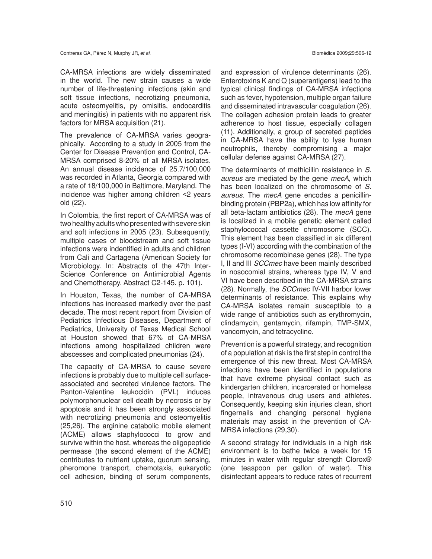CA-MRSA infections are widely disseminated in the world. The new strain causes a wide number of life-threatening infections (skin and soft tissue infections, necrotizing pneumonia, acute osteomyelitis, py omisitis, endocarditis and meningitis) in patients with no apparent risk factors for MRSA acquisition (21).

The prevalence of CA-MRSA varies geographically. According to a study in 2005 from the Center for Disease Prevention and Control, CA-MRSA comprised 8-20% of all MRSA isolates. An annual disease incidence of 25.7/100,000 was recorded in Atlanta, Georgia compared with a rate of 18/100,000 in Baltimore, Maryland. The incidence was higher among children <2 years old (22).

In Colombia, the first report of CA-MRSA was of two healthy adults who presented with severe skin and soft infections in 2005 (23). Subsequently, multiple cases of bloodstream and soft tissue infections were indentified in adults and children from Cali and Cartagena (American Society for Microbiology. In: Abstracts of the 47th Inter-Science Conference on Antimicrobial Agents and Chemotherapy. Abstract C2-145. p. 101).

In Houston, Texas, the number of CA-MRSA infections has increased markedly over the past decade. The most recent report from Division of Pediatrics Infectious Diseases, Department of Pediatrics, University of Texas Medical School at Houston showed that 67% of CA-MRSA infections among hospitalized children were abscesses and complicated pneumonias (24).

The capacity of CA-MRSA to cause severe infections is probably due to multiple cell surfaceassociated and secreted virulence factors. The Panton-Valentine leukocidin (PVL) induces polymorphonuclear cell death by necrosis or by apoptosis and it has been strongly associated with necrotizing pneumonia and osteomyelitis (25,26). The arginine catabolic mobile element (ACME) allows staphylococci to grow and survive within the host, whereas the oligopeptide permease (the second element of the ACME) contributes to nutrient uptake, quorum sensing, pheromone transport, chemotaxis, eukaryotic cell adhesion, binding of serum components,

and expression of virulence determinants (26). Enterotoxins K and Q (superantigens) lead to the typical clinical findings of CA-MRSA infections such as fever, hypotension, multiple organ failure and disseminated intravascular coagulation (26). The collagen adhesion protein leads to greater adherence to host tissue, especially collagen (11). Additionally, a group of secreted peptides in CA-MRSA have the ability to lyse human neutrophils, thereby compromising a major cellular defense against CA-MRSA (27).

The determinants of methicillin resistance in *S. aureus* are mediated by the gene *mecA*, which has been localized on the chromosome of *S. aureus*. The *mecA* gene encodes a penicillinbinding protein (PBP2a), which has low affinity for all beta-lactam antibiotics (28). The *mecA* gene is localized in a mobile genetic element called staphylococcal cassette chromosome (SCC). This element has been classified in six different types (I-VI) according with the combination of the chromosome recombinase genes (28). The type I, II and III *SCCmec* have been mainly described in nosocomial strains, whereas type IV, V and VI have been described in the CA-MRSA strains (28). Normally, the *SCCmec* IV-VII harbor lower determinants of resistance. This explains why CA-MRSA isolates remain susceptible to a wide range of antibiotics such as erythromycin, clindamycin, gentamycin, rifampin, TMP-SMX, vancomycin, and tetracycline.

Prevention is a powerful strategy, and recognition of a population at risk is the first step in control the emergence of this new threat. Most CA-MRSA infections have been identified in populations that have extreme physical contact such as kindergarten children, incarcerated or homeless people, intravenous drug users and athletes. Consequently, keeping skin injuries clean, short fingernails and changing personal hygiene materials may assist in the prevention of CA-MRSA infections (29,30).

A second strategy for individuals in a high risk environment is to bathe twice a week for 15 minutes in water with regular strength Clorox® (one teaspoon per gallon of water). This disinfectant appears to reduce rates of recurrent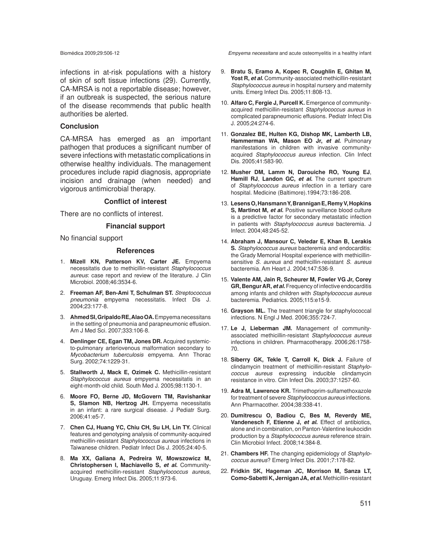infections in at-risk populations with a history of skin of soft tissue infections (29). Currently, CA-MRSA is not a reportable disease; however, if an outbreak is suspected, the serious nature of the disease recommends that public health authorities be alerted.

## **Conclusion**

CA-MRSA has emerged as an important pathogen that produces a significant number of severe infections with metastatic complications in otherwise healthy individuals. The management procedures include rapid diagnosis, appropriate incision and drainage (when needed) and vigorous antimicrobial therapy.

#### **Conflict of interest**

There are no conflicts of interest.

#### **Financial support**

No financial support

#### **References**

- 1. **Mizell KN, Patterson KV, Carter JE.** Empyema necessitatis due to methicillin-resistant *Staphylococcus aureus*: case report and review of the literature. J Clin Microbiol. 2008;46:3534-6.
- 2. **Freeman AF, Ben-Ami T, Schulman ST.** *Streptococcus pneumonia* empyema necessitatis. Infect Dis J. 2004;23:177-8.
- 3. **Ahmed SI, Gripaldo RE, Alao OA.** Empyema necessitans in the setting of pneumonia and parapneumonic effusion. Am J Med Sci. 2007;333:106-8.
- 4. **Denlinger CE, Egan TM, Jones DR.** Acquired systemicto-pulmonary arteriovenous malformation secondary to *Mycobacterium tuberculosis* empyema. Ann Thorac Surg. 2002;74:1229-31.
- 5. **Stallworth J, Mack E, Ozimek C.** Methicillin-resistant *Staphylococcus aureus* empyema necessitatis in an eight-month-old child. South Med J. 2005;98:1130-1.
- 6. **Moore FO, Berne JD, McGovern TM, Ravishankar S, Slamon NB, Hertzog JH.** Empyema necessitatis in an infant: a rare surgical disease. J Pediatr Surg. 2006;41:e5-7.
- 7. **Chen CJ, Huang YC, Chiu CH, Su LH, Lin TY.** Clinical features and genotyping analysis of community-acquired methicillin-resistant *Staphylococcus aureus* infections in Taiwanese children. Pediatr Infect Dis J. 2005;24:40-5.
- 8. **Ma XX, Galiana A, Pedreira W, Mowszowicz M, Christophersen I, Machiavello S,** *et al***.** Communityacquired methicillin-resistant *Staphylococcus aureus*, Uruguay. Emerg Infect Dis. 2005;11:973-6.

*Empyema necessitans* and acute osteomyelitis in a healthy infant

- 9. **Bratu S, Eramo A, Kopec R, Coughlin E, Ghitan M, Yost R,** *et al***.** Community-associated methicillin-resistant *Staphylococcus aureus* in hospital nursery and maternity units. Emerg Infect Dis. 2005;11:808-13.
- 10. **Alfaro C, Fergie J, Purcell K.** Emergence of communityacquired methicillin-resistant *Staphylococcus aureus* in complicated parapneumonic effusions. Pediatr Infect Dis J. 2005;24:274-6.
- 11. **Gonzalez BE, Hulten KG, Dishop MK, Lamberth LB, Hammerman WA, Mason EO Jr,** *et al***.** Pulmonary manifestations in children with invasive communityacquired *Staphylococcus aureus* infection. Clin Infect Dis. 2005;41:583-90.
- 12. **Musher DM, Lamm N, Darouiche RO, Young EJ**, **Hamill RJ**, **Landon GC,** *et al***.** The current spectrum of *Staphylococcus aureus* infection in a tertiary care hospital. Medicine (Baltimore).1994;73:186-208.
- 13. **Lesens O, Hansmann Y, Brannigan E, Remy V,Hopkins S, Martinot M,** *et al***.** Positive surveillance blood culture is a predictive factor for secondary metastatic infection in patients with *Staphylococcus aureus* bacteremia. J Infect. 2004;48:245-52.
- 14. **Abraham J, Mansour C, Veledar E, Khan B, Lerakis S.** *Staphylococcus aureus* bacteremia and endocarditis: the Grady Memorial Hospital experience with methicillinsensitive *S. aureus* and methicillin-resistant *S. aureus* bacteremia. Am Heart J. 2004;147:536-9.
- 15. **Valente AM, Jain R, Scheurer M, Fowler VG Jr, Corey GR, Bengur AR,** *et al***.** Frequency of infective endocarditis among infants and children with *Staphylococcus aureus* bacteremia. Pediatrics. 2005;115:e15-9.
- 16. **Grayson ML.** The treatment triangle for staphylococcal infections. N Engl J Med. 2006;355:724-7.
- 17. **Le J, Lieberman JM.** Management of communityassociated methicillin-resistant *Staphylococcus aureus* infections in children. Pharmacotherapy. 2006;26:1758- 70.
- 18. **Siberry GK, Tekle T, Carroll K, Dick J.** Failure of clindamycin treatment of methicillin-resistant *Staphylococcus aureus* expressing inducible clindamycin resistance in vitro. Clin Infect Dis. 2003;37:1257-60.
- 19. **Adra M, Lawrence KR.** Trimethoprim-sulfamethoxazole for treatment of severe *Staphylococcus aureus* infections. Ann Pharmacother. 2004;38:338-41.
- 20. **Dumitrescu O, Badiou C, Bes M, Reverdy ME, Vandenesch F, Etienne J,** *et al***.** Effect of antibiotics, alone and in combination, on Panton-Valentine leukocidin production by a *Staphylococcus aureus* reference strain. Clin Microbiol Infect. 2008;14:384-8.
- 21. **Chambers HF.** The changing epidemiology of *Staphylococcus aureus*? Emerg Infect Dis. 2001;7:178-82.
- 22. **Fridkin SK, Hageman JC, Morrison M, Sanza LT, Como-Sabetti K, Jernigan JA,** *et al***.** Methicillin-resistant